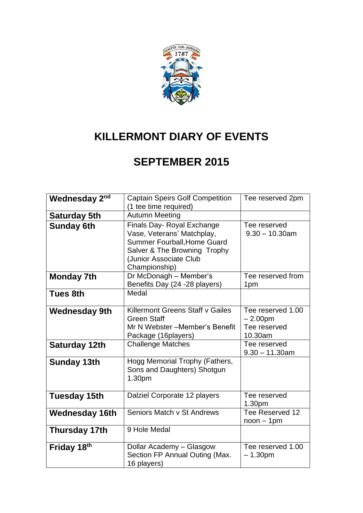

# **KILLERMONT DIARY OF EVENTS**

### **SEPTEMBER 2015**

| Wednesday 2 <sup>nd</sup> | <b>Captain Speirs Golf Competition</b><br>(1 tee time required)                                                                                                           | Tee reserved 2pm                                          |
|---------------------------|---------------------------------------------------------------------------------------------------------------------------------------------------------------------------|-----------------------------------------------------------|
|                           |                                                                                                                                                                           |                                                           |
| <b>Saturday 5th</b>       | <b>Autumn Meeting</b>                                                                                                                                                     |                                                           |
| <b>Sunday 6th</b>         | Finals Day- Royal Exchange<br>Vase, Veterans' Matchplay,<br><b>Summer Fourball, Home Guard</b><br>Salver & The Browning Trophy<br>(Junior Associate Club<br>Championship) | Tee reserved<br>$9.30 - 10.30$ am                         |
| <b>Monday 7th</b>         | Dr McDonagh - Member's<br>Benefits Day (24 -28 players)                                                                                                                   | Tee reserved from<br>1pm                                  |
| <b>Tues 8th</b>           | Medal                                                                                                                                                                     |                                                           |
| <b>Wednesday 9th</b>      | Killermont Greens Staff v Gailes<br><b>Green Staff</b><br>Mr N Webster - Member's Benefit<br>Package (16players)                                                          | Tee reserved 1.00<br>$-2.00pm$<br>Tee reserved<br>10.30am |
| Saturday 12th             | <b>Challenge Matches</b>                                                                                                                                                  | Tee reserved<br>$9.30 - 11.30$ am                         |
| <b>Sunday 13th</b>        | Hogg Memorial Trophy (Fathers,<br>Sons and Daughters) Shotgun<br>1.30pm                                                                                                   |                                                           |
| <b>Tuesday 15th</b>       | Dalziel Corporate 12 players                                                                                                                                              | Tee reserved<br>1.30pm                                    |
| <b>Wednesday 16th</b>     | Seniors Match v St Andrews                                                                                                                                                | Tee Reserved 12<br>$noon - 1pm$                           |
| <b>Thursday 17th</b>      | 9 Hole Medal                                                                                                                                                              |                                                           |
| Friday 18th               | Dollar Academy - Glasgow<br>Section FP Annual Outing (Max.<br>16 players)                                                                                                 | Tee reserved 1.00<br>$-1.30pm$                            |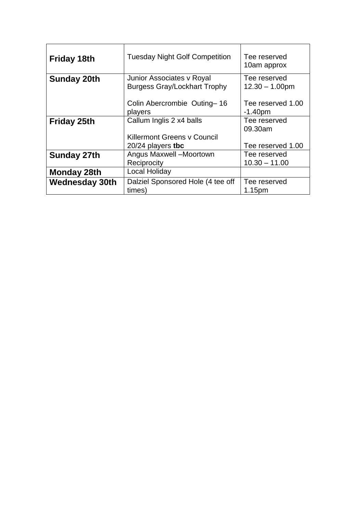| <b>Friday 18th</b>    | <b>Tuesday Night Golf Competition</b> | Tee reserved<br>10am approx |
|-----------------------|---------------------------------------|-----------------------------|
| <b>Sunday 20th</b>    | Junior Associates v Royal             | Tee reserved                |
|                       | <b>Burgess Gray/Lockhart Trophy</b>   | $12.30 - 1.00$ pm           |
|                       | Colin Abercrombie Outing-16           | Tee reserved 1.00           |
|                       | players                               | $-1.40pm$                   |
| <b>Friday 25th</b>    | Callum Inglis 2 x4 balls              | Tee reserved                |
|                       |                                       | 09.30am                     |
|                       | <b>Killermont Greens y Council</b>    |                             |
|                       | $20/24$ players tbc                   | Tee reserved 1.00           |
| <b>Sunday 27th</b>    | Angus Maxwell -Moortown               | Tee reserved                |
|                       | Reciprocity                           | $10.30 - 11.00$             |
| Monday 28th           | Local Holiday                         |                             |
| <b>Wednesday 30th</b> | Dalziel Sponsored Hole (4 tee off     | Tee reserved                |
|                       | times)                                | 1.15 <sub>pm</sub>          |